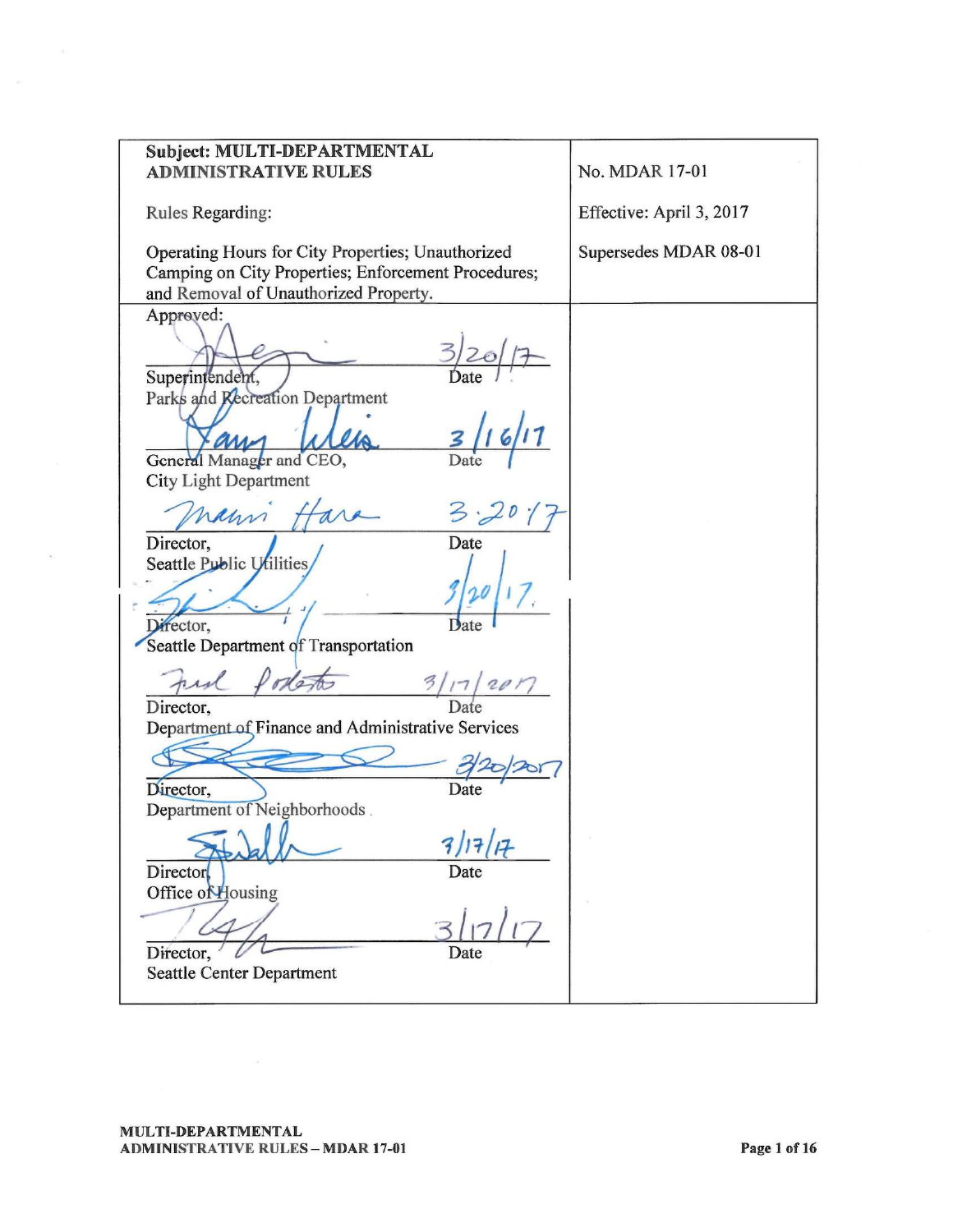| Subject: MULTI-DEPARTMENTAL<br><b>ADMINISTRATIVE RULES</b>                                               | No. MDAR 17-01           |
|----------------------------------------------------------------------------------------------------------|--------------------------|
|                                                                                                          |                          |
| Rules Regarding:                                                                                         | Effective: April 3, 2017 |
| Operating Hours for City Properties; Unauthorized<br>Camping on City Properties; Enforcement Procedures; | Supersedes MDAR 08-01    |
| and Removal of Unauthorized Property.                                                                    |                          |
| Approved:                                                                                                |                          |
|                                                                                                          |                          |
| Superintendent,                                                                                          |                          |
| Parks and Recreation Department                                                                          |                          |
| General Manager and CEO,                                                                                 |                          |
| <b>City Light Department</b>                                                                             |                          |
| naun 1                                                                                                   |                          |
| Director,<br>Date                                                                                        |                          |
| Seattle Public Utilities,                                                                                |                          |
|                                                                                                          |                          |
| Director,                                                                                                |                          |
| Seattle Department of Transportation                                                                     |                          |
| Full Podestes<br>3/17/201                                                                                |                          |
| Director,                                                                                                |                          |
| Department of Finance and Administrative Services                                                        |                          |
|                                                                                                          |                          |
| Director,<br>Date                                                                                        |                          |
| Department of Neighborhoods.                                                                             |                          |
| $\sim$ 0.00<br>$\sim$                                                                                    |                          |
| Director<br>Date                                                                                         |                          |
| Office of Housing                                                                                        |                          |
|                                                                                                          |                          |
| Director,<br>Date                                                                                        |                          |
| <b>Seattle Center Department</b>                                                                         |                          |

 $\alpha$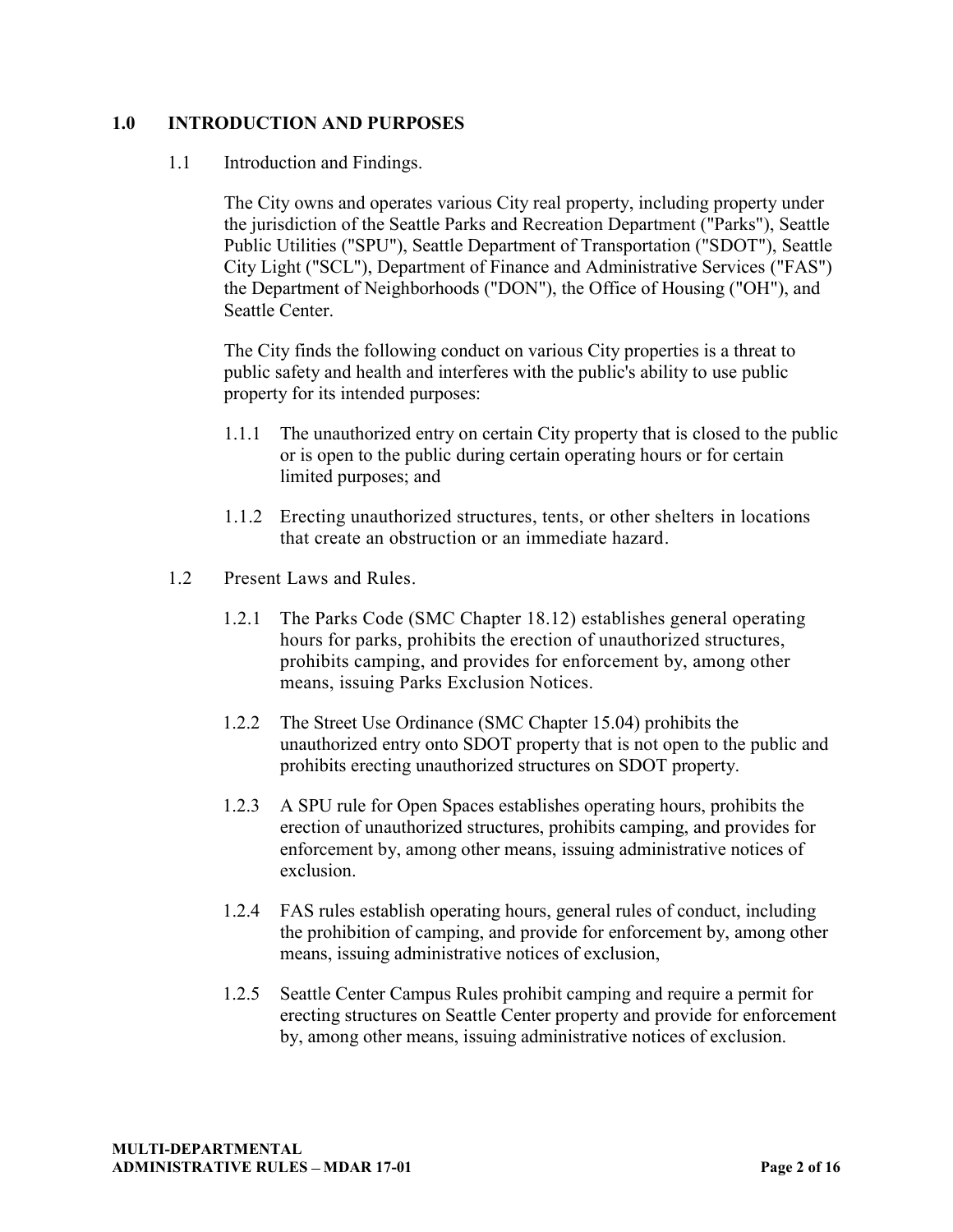### **1.0 INTRODUCTION AND PURPOSES**

#### 1.1 Introduction and Findings.

The City owns and operates various City real property, including property under the jurisdiction of the Seattle Parks and Recreation Department ("Parks"), Seattle Public Utilities ("SPU"), Seattle Department of Transportation ("SDOT"), Seattle City Light ("SCL"), Department of Finance and Administrative Services ("FAS") the Department of Neighborhoods ("DON"), the Office of Housing ("OH"), and Seattle Center.

The City finds the following conduct on various City properties is a threat to public safety and health and interferes with the public's ability to use public property for its intended purposes:

- 1.1.1 The unauthorized entry on certain City property that is closed to the public or is open to the public during certain operating hours or for certain limited purposes; and
- 1.1.2 Erecting unauthorized structures, tents, or other shelters in locations that create an obstruction or an immediate hazard.
- 1.2 Present Laws and Rules.
	- 1.2.1 The Parks Code (SMC Chapter 18.12) establishes general operating hours for parks, prohibits the erection of unauthorized structures, prohibits camping, and provides for enforcement by, among other means, issuing Parks Exclusion Notices.
	- 1.2.2 The Street Use Ordinance (SMC Chapter 15.04) prohibits the unauthorized entry onto SDOT property that is not open to the public and prohibits erecting unauthorized structures on SDOT property.
	- 1.2.3 A SPU rule for Open Spaces establishes operating hours, prohibits the erection of unauthorized structures, prohibits camping, and provides for enforcement by, among other means, issuing administrative notices of exclusion.
	- 1.2.4 FAS rules establish operating hours, general rules of conduct, including the prohibition of camping, and provide for enforcement by, among other means, issuing administrative notices of exclusion,
	- 1.2.5 Seattle Center Campus Rules prohibit camping and require a permit for erecting structures on Seattle Center property and provide for enforcement by, among other means, issuing administrative notices of exclusion.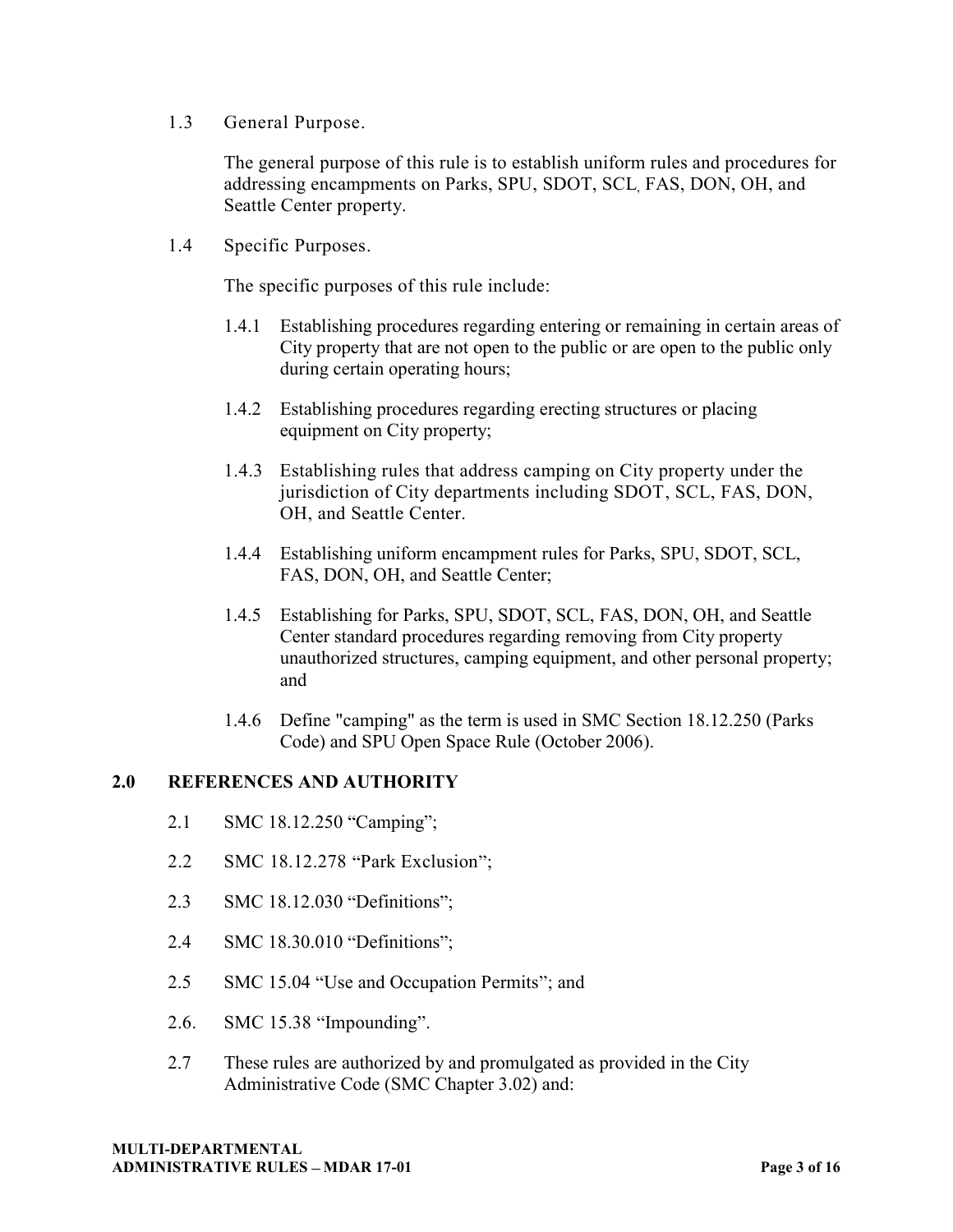1.3 General Purpose.

The general purpose of this rule is to establish uniform rules and procedures for addressing encampments on Parks, SPU, SDOT, SCL, FAS, DON, OH, and Seattle Center property.

1.4 Specific Purposes.

The specific purposes of this rule include:

- 1.4.1 Establishing procedures regarding entering or remaining in certain areas of City property that are not open to the public or are open to the public only during certain operating hours;
- 1.4.2 Establishing procedures regarding erecting structures or placing equipment on City property;
- 1.4.3 Establishing rules that address camping on City property under the jurisdiction of City departments including SDOT, SCL, FAS, DON, OH, and Seattle Center.
- 1.4.4 Establishing uniform encampment rules for Parks, SPU, SDOT, SCL, FAS, DON, OH, and Seattle Center;
- 1.4.5 Establishing for Parks, SPU, SDOT, SCL, FAS, DON, OH, and Seattle Center standard procedures regarding removing from City property unauthorized structures, camping equipment, and other personal property; and
- 1.4.6 Define "camping" as the term is used in SMC Section 18.12.250 (Parks Code) and SPU Open Space Rule (October 2006).

### **2.0 REFERENCES AND AUTHORITY**

- 2.1 SMC 18.12.250 "Camping";
- 2.2 SMC 18.12.278 "Park Exclusion";
- 2.3 SMC 18.12.030 "Definitions";
- 2.4 SMC 18.30.010 "Definitions";
- 2.5 SMC 15.04 "Use and Occupation Permits"; and
- 2.6. SMC  $15.38$  "Impounding".
- 2.7 These rules are authorized by and promulgated as provided in the City Administrative Code (SMC Chapter 3.02) and: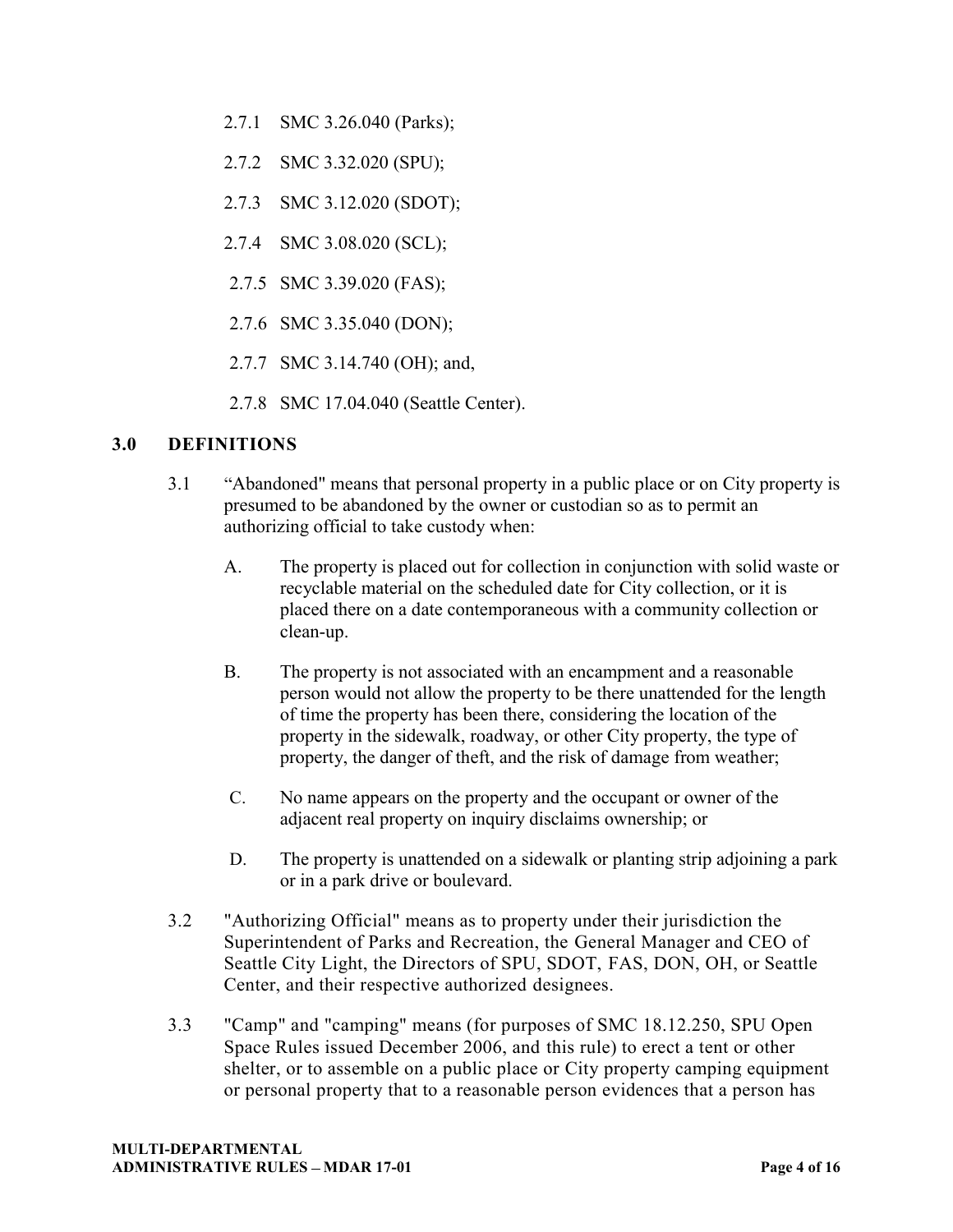- 2.7.1 SMC 3.26.040 (Parks);
- 2.7.2 SMC 3.32.020 (SPU);
- 2.7.3 SMC 3.12.020 (SDOT);
- 2.7.4 SMC 3.08.020 (SCL);
- 2.7.5 SMC 3.39.020 (FAS);
- 2.7.6 SMC 3.35.040 (DON);
- 2.7.7 SMC 3.14.740 (OH); and,
- 2.7.8 SMC 17.04.040 (Seattle Center).

# **3.0 DEFINITIONS**

- 3.1 Abandoned" means that personal property in a public place or on City property is presumed to be abandoned by the owner or custodian so as to permit an authorizing official to take custody when:
	- A. The property is placed out for collection in conjunction with solid waste or recyclable material on the scheduled date for City collection, or it is placed there on a date contemporaneous with a community collection or clean-up.
	- B. The property is not associated with an encampment and a reasonable person would not allow the property to be there unattended for the length of time the property has been there, considering the location of the property in the sidewalk, roadway, or other City property, the type of property, the danger of theft, and the risk of damage from weather;
	- C. No name appears on the property and the occupant or owner of the adjacent real property on inquiry disclaims ownership; or
	- D. The property is unattended on a sidewalk or planting strip adjoining a park or in a park drive or boulevard.
- 3.2 "Authorizing Official" means as to property under their jurisdiction the Superintendent of Parks and Recreation, the General Manager and CEO of Seattle City Light, the Directors of SPU, SDOT, FAS, DON, OH, or Seattle Center, and their respective authorized designees.
- 3.3 "Camp" and "camping" means (for purposes of SMC 18.12.250, SPU Open Space Rules issued December 2006, and this rule) to erect a tent or other shelter, or to assemble on a public place or City property camping equipment or personal property that to a reasonable person evidences that a person has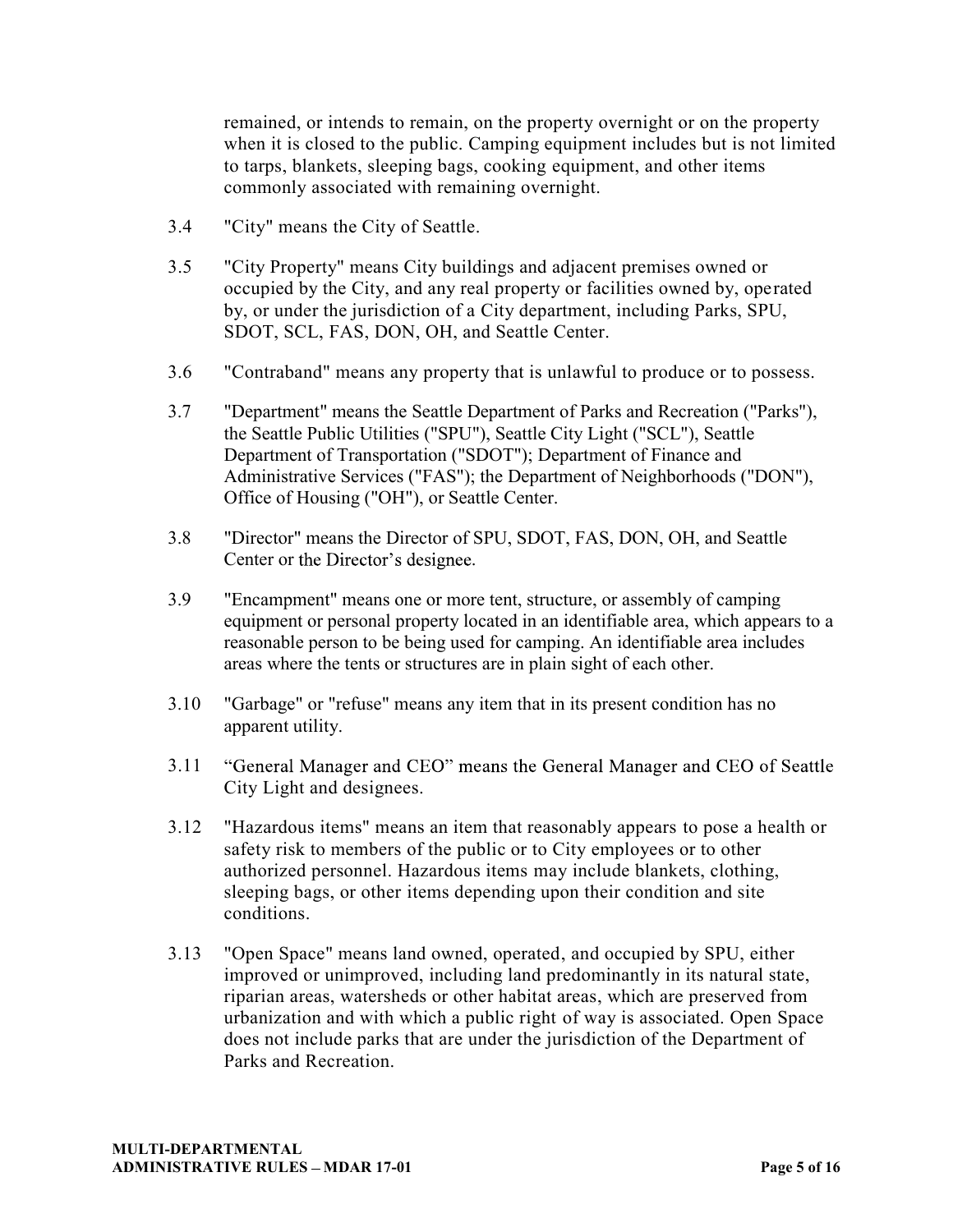remained, or intends to remain, on the property overnight or on the property when it is closed to the public. Camping equipment includes but is not limited to tarps, blankets, sleeping bags, cooking equipment, and other items commonly associated with remaining overnight.

- 3.4 "City" means the City of Seattle.
- 3.5 "City Property" means City buildings and adjacent premises owned or occupied by the City, and any real property or facilities owned by, operated by, or under the jurisdiction of a City department, including Parks, SPU, SDOT, SCL, FAS, DON, OH, and Seattle Center.
- 3.6 "Contraband" means any property that is unlawful to produce or to possess.
- 3.7 "Department" means the Seattle Department of Parks and Recreation ("Parks"), the Seattle Public Utilities ("SPU"), Seattle City Light ("SCL"), Seattle Department of Transportation ("SDOT"); Department of Finance and Administrative Services ("FAS"); the Department of Neighborhoods ("DON"), Office of Housing ("OH"), or Seattle Center.
- 3.8 "Director" means the Director of SPU, SDOT, FAS, DON, OH, and Seattle Center or the Director's designee.
- 3.9 "Encampment" means one or more tent, structure, or assembly of camping equipment or personal property located in an identifiable area, which appears to a reasonable person to be being used for camping. An identifiable area includes areas where the tents or structures are in plain sight of each other.
- 3.10 "Garbage" or "refuse" means any item that in its present condition has no apparent utility.
- "General Manager and CEO" means the General Manager and CEO of Seattle 3.11 City Light and designees.
- 3.12 "Hazardous items" means an item that reasonably appears to pose a health or safety risk to members of the public or to City employees or to other authorized personnel. Hazardous items may include blankets, clothing, sleeping bags, or other items depending upon their condition and site conditions.
- 3.13 "Open Space" means land owned, operated, and occupied by SPU, either improved or unimproved, including land predominantly in its natural state, riparian areas, watersheds or other habitat areas, which are preserved from urbanization and with which a public right of way is associated. Open Space does not include parks that are under the jurisdiction of the Department of Parks and Recreation.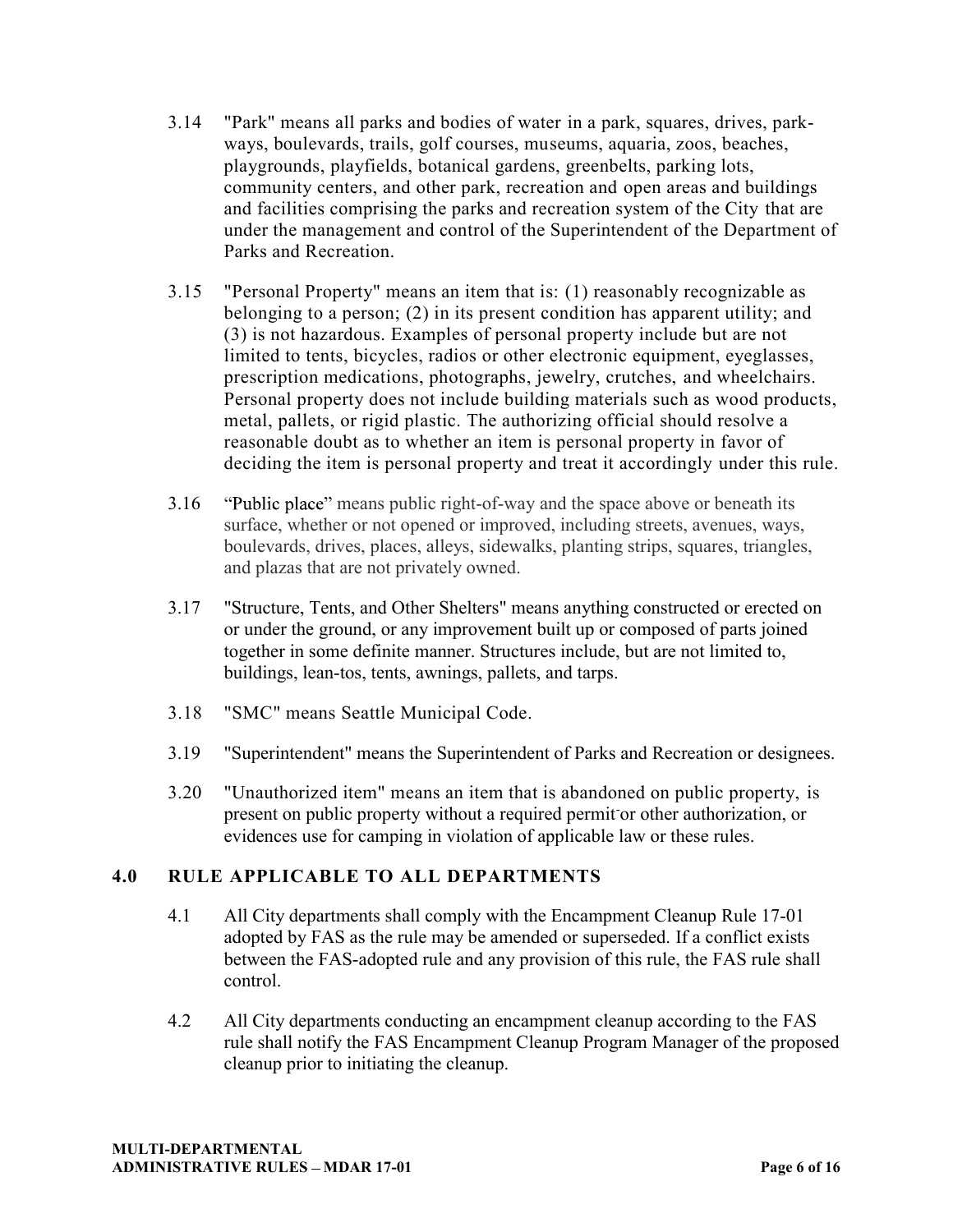- 3.14 "Park" means all parks and bodies of water in a park, squares, drives, parkways, boulevards, trails, golf courses, museums, aquaria, zoos, beaches, playgrounds, playfields, botanical gardens, greenbelts, parking lots, community centers, and other park, recreation and open areas and buildings and facilities comprising the parks and recreation system of the City that are under the management and control of the Superintendent of the Department of Parks and Recreation.
- 3.15 "Personal Property" means an item that is: (1) reasonably recognizable as belonging to a person; (2) in its present condition has apparent utility; and (3) is not hazardous. Examples of personal property include but are not limited to tents, bicycles, radios or other electronic equipment, eyeglasses, prescription medications, photographs, jewelry, crutches, and wheelchairs. Personal property does not include building materials such as wood products, metal, pallets, or rigid plastic. The authorizing official should resolve a reasonable doubt as to whether an item is personal property in favor of deciding the item is personal property and treat it accordingly under this rule.
- 3.16 "Public place" means public right-of-way and the space above or beneath its surface, whether or not opened or improved, including streets, avenues, ways, boulevards, drives, places, alleys, sidewalks, planting strips, squares, triangles, and plazas that are not privately owned.
- 3.17 "Structure, Tents, and Other Shelters" means anything constructed or erected on or under the ground, or any improvement built up or composed of parts joined together in some definite manner. Structures include, but are not limited to, buildings, lean-tos, tents, awnings, pallets, and tarps.
- 3.18 "SMC" means Seattle Municipal Code.
- 3.19 "Superintendent" means the Superintendent of Parks and Recreation or designees.
- 3.20 "Unauthorized item" means an item that is abandoned on public property, is present on public property without a required permit-or other authorization, or evidences use for camping in violation of applicable law or these rules.

# **4.0 RULE APPLICABLE TO ALL DEPARTMENTS**

- 4.1 All City departments shall comply with the Encampment Cleanup Rule 17-01 adopted by FAS as the rule may be amended or superseded. If a conflict exists between the FAS-adopted rule and any provision of this rule, the FAS rule shall control.
- 4.2 All City departments conducting an encampment cleanup according to the FAS rule shall notify the FAS Encampment Cleanup Program Manager of the proposed cleanup prior to initiating the cleanup.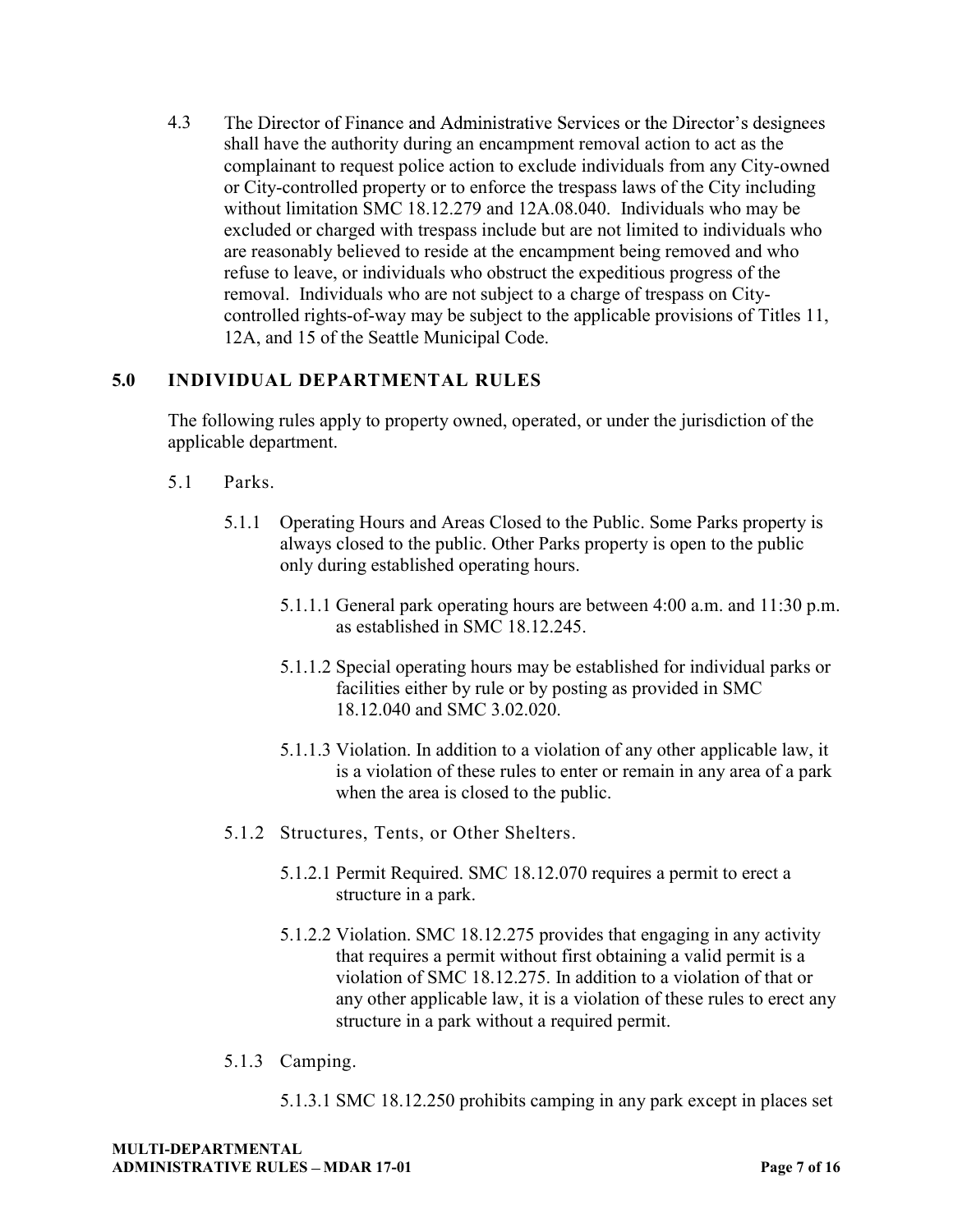4.3 The Director of Finance and Administrative Services or the Director's designees shall have the authority during an encampment removal action to act as the complainant to request police action to exclude individuals from any City-owned or City-controlled property or to enforce the trespass laws of the City including without limitation SMC 18.12.279 and 12A.08.040. Individuals who may be excluded or charged with trespass include but are not limited to individuals who are reasonably believed to reside at the encampment being removed and who refuse to leave, or individuals who obstruct the expeditious progress of the removal. Individuals who are not subject to a charge of trespass on Citycontrolled rights-of-way may be subject to the applicable provisions of Titles 11, 12A, and 15 of the Seattle Municipal Code.

# **5.0 INDIVIDUAL DEPARTMENTAL RULES**

The following rules apply to property owned, operated, or under the jurisdiction of the applicable department.

- 5.1 Parks.
	- 5.1.1 Operating Hours and Areas Closed to the Public. Some Parks property is always closed to the public. Other Parks property is open to the public only during established operating hours.
		- 5.1.1.1 General park operating hours are between 4:00 a.m. and 11:30 p.m. as established in SMC 18.12.245.
		- 5.1.1.2 Special operating hours may be established for individual parks or facilities either by rule or by posting as provided in SMC 18.12.040 and SMC 3.02.020.
		- 5.1.1.3 Violation. In addition to a violation of any other applicable law, it is a violation of these rules to enter or remain in any area of a park when the area is closed to the public.
	- 5.1.2 Structures, Tents, or Other Shelters.
		- 5.1.2.1 Permit Required. SMC 18.12.070 requires a permit to erect a structure in a park.
		- 5.1.2.2 Violation. SMC 18.12.275 provides that engaging in any activity that requires a permit without first obtaining a valid permit is a violation of SMC 18.12.275. In addition to a violation of that or any other applicable law, it is a violation of these rules to erect any structure in a park without a required permit.
	- 5.1.3 Camping.
		- 5.1.3.1 SMC 18.12.250 prohibits camping in any park except in places set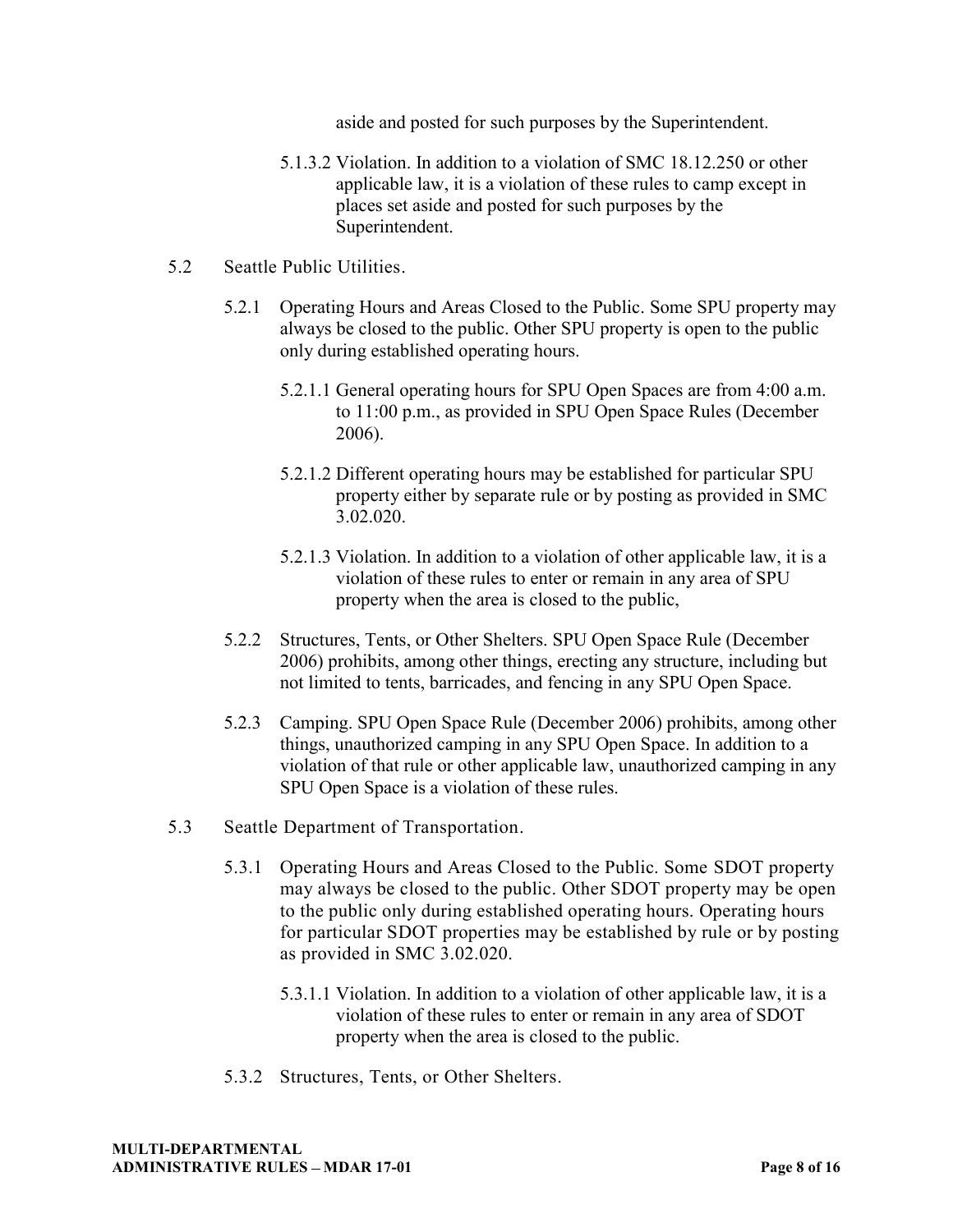aside and posted for such purposes by the Superintendent.

- 5.1.3.2 Violation. In addition to a violation of SMC 18.12.250 or other applicable law, it is a violation of these rules to camp except in places set aside and posted for such purposes by the Superintendent.
- 5.2 Seattle Public Utilities.
	- 5.2.1 Operating Hours and Areas Closed to the Public. Some SPU property may always be closed to the public. Other SPU property is open to the public only during established operating hours.
		- 5.2.1.1 General operating hours for SPU Open Spaces are from 4:00 a.m. to 11:00 p.m., as provided in SPU Open Space Rules (December 2006).
		- 5.2.1.2 Different operating hours may be established for particular SPU property either by separate rule or by posting as provided in SMC 3.02.020.
		- 5.2.1.3 Violation. In addition to a violation of other applicable law, it is a violation of these rules to enter or remain in any area of SPU property when the area is closed to the public,
	- 5.2.2 Structures, Tents, or Other Shelters. SPU Open Space Rule (December 2006) prohibits, among other things, erecting any structure, including but not limited to tents, barricades, and fencing in any SPU Open Space.
	- 5.2.3 Camping. SPU Open Space Rule (December 2006) prohibits, among other things, unauthorized camping in any SPU Open Space. In addition to a violation of that rule or other applicable law, unauthorized camping in any SPU Open Space is a violation of these rules.
- 5.3 Seattle Department of Transportation.
	- 5.3.1 Operating Hours and Areas Closed to the Public. Some SDOT property may always be closed to the public. Other SDOT property may be open to the public only during established operating hours. Operating hours for particular SDOT properties may be established by rule or by posting as provided in SMC 3.02.020.
		- 5.3.1.1 Violation. In addition to a violation of other applicable law, it is a violation of these rules to enter or remain in any area of SDOT property when the area is closed to the public.
	- 5.3.2 Structures, Tents, or Other Shelters.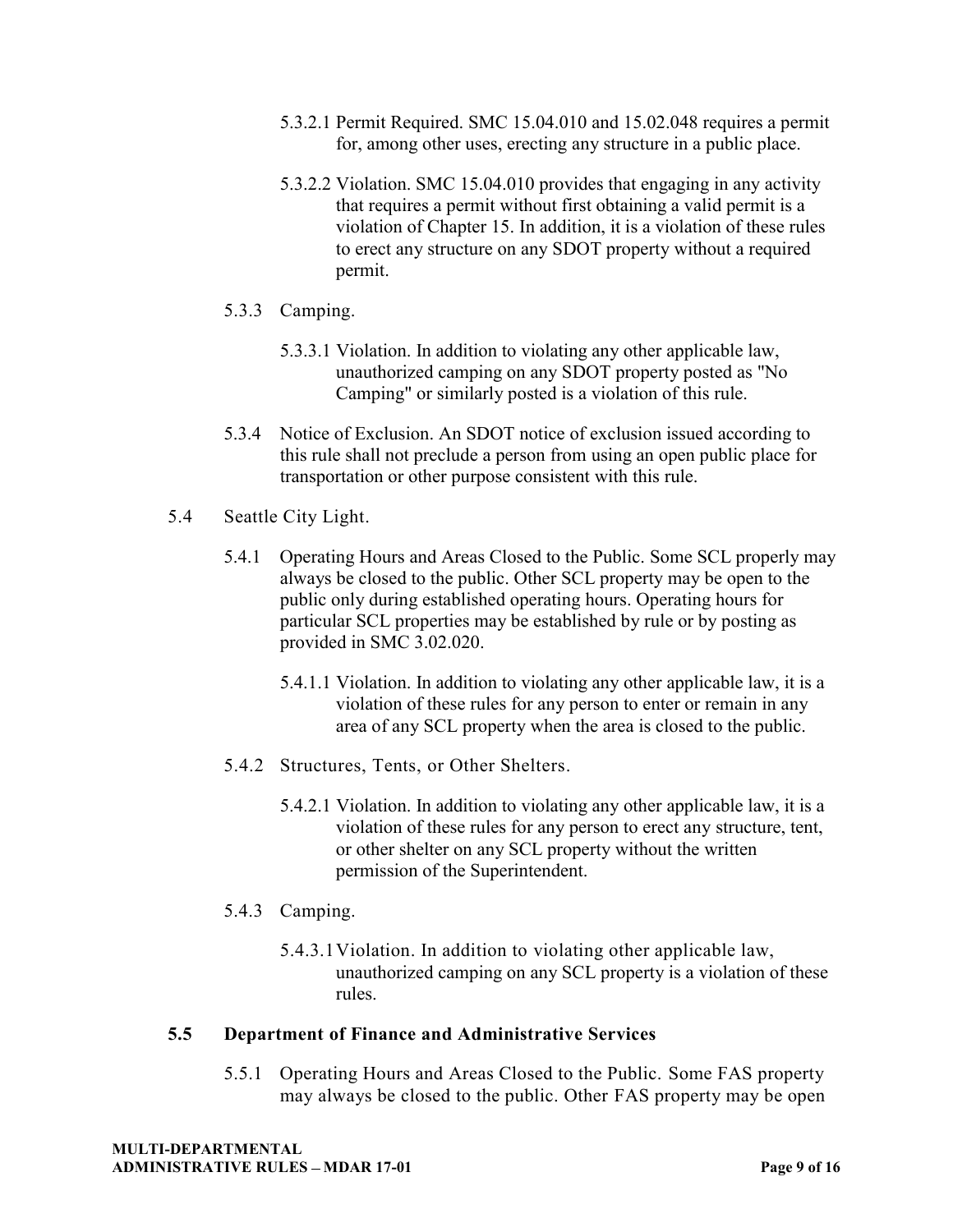- 5.3.2.1 Permit Required. SMC 15.04.010 and 15.02.048 requires a permit for, among other uses, erecting any structure in a public place.
- 5.3.2.2 Violation. SMC 15.04.010 provides that engaging in any activity that requires a permit without first obtaining a valid permit is a violation of Chapter 15. In addition, it is a violation of these rules to erect any structure on any SDOT property without a required permit.
- 5.3.3 Camping.
	- 5.3.3.1 Violation. In addition to violating any other applicable law, unauthorized camping on any SDOT property posted as "No Camping" or similarly posted is a violation of this rule.
- 5.3.4 Notice of Exclusion. An SDOT notice of exclusion issued according to this rule shall not preclude a person from using an open public place for transportation or other purpose consistent with this rule.
- 5.4 Seattle City Light.
	- 5.4.1 Operating Hours and Areas Closed to the Public. Some SCL properly may always be closed to the public. Other SCL property may be open to the public only during established operating hours. Operating hours for particular SCL properties may be established by rule or by posting as provided in SMC 3.02.020.
		- 5.4.1.1 Violation. In addition to violating any other applicable law, it is a violation of these rules for any person to enter or remain in any area of any SCL property when the area is closed to the public.
	- 5.4.2 Structures, Tents, or Other Shelters.
		- 5.4.2.1 Violation. In addition to violating any other applicable law, it is a violation of these rules for any person to erect any structure, tent, or other shelter on any SCL property without the written permission of the Superintendent.
	- 5.4.3 Camping.
		- 5.4.3.1 Violation. In addition to violating other applicable law, unauthorized camping on any SCL property is a violation of these rules.

#### **5.5 Department of Finance and Administrative Services**

5.5.1 Operating Hours and Areas Closed to the Public. Some FAS property may always be closed to the public. Other FAS property may be open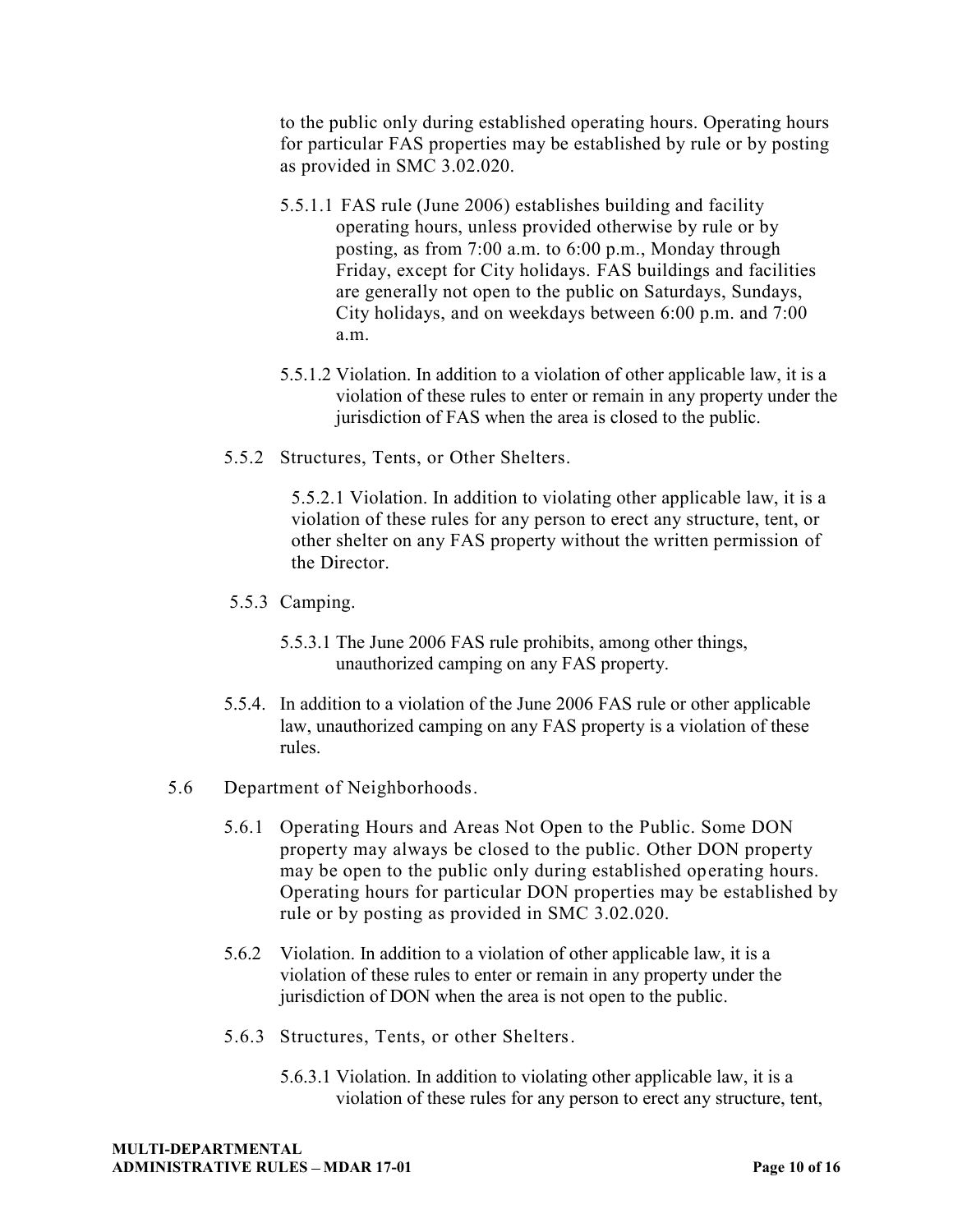to the public only during established operating hours. Operating hours for particular FAS properties may be established by rule or by posting as provided in SMC 3.02.020.

- 5.5.1.1 FAS rule (June 2006) establishes building and facility operating hours, unless provided otherwise by rule or by posting, as from 7:00 a.m. to 6:00 p.m., Monday through Friday, except for City holidays. FAS buildings and facilities are generally not open to the public on Saturdays, Sundays, City holidays, and on weekdays between 6:00 p.m. and 7:00 a.m.
- 5.5.1.2 Violation. In addition to a violation of other applicable law, it is a violation of these rules to enter or remain in any property under the jurisdiction of FAS when the area is closed to the public.
- 5.5.2 Structures, Tents, or Other Shelters.

5.5.2.1 Violation. In addition to violating other applicable law, it is a violation of these rules for any person to erect any structure, tent, or other shelter on any FAS property without the written permission of the Director.

- 5.5.3 Camping.
	- 5.5.3.1 The June 2006 FAS rule prohibits, among other things, unauthorized camping on any FAS property.
- 5.5.4. In addition to a violation of the June 2006 FAS rule or other applicable law, unauthorized camping on any FAS property is a violation of these rules.
- 5.6 Department of Neighborhoods.
	- 5.6.1 Operating Hours and Areas Not Open to the Public. Some DON property may always be closed to the public. Other DON property may be open to the public only during established operating hours. Operating hours for particular DON properties may be established by rule or by posting as provided in SMC 3.02.020.
	- 5.6.2 Violation. In addition to a violation of other applicable law, it is a violation of these rules to enter or remain in any property under the jurisdiction of DON when the area is not open to the public.
	- 5.6.3 Structures, Tents, or other Shelters.
		- 5.6.3.1 Violation. In addition to violating other applicable law, it is a violation of these rules for any person to erect any structure, tent,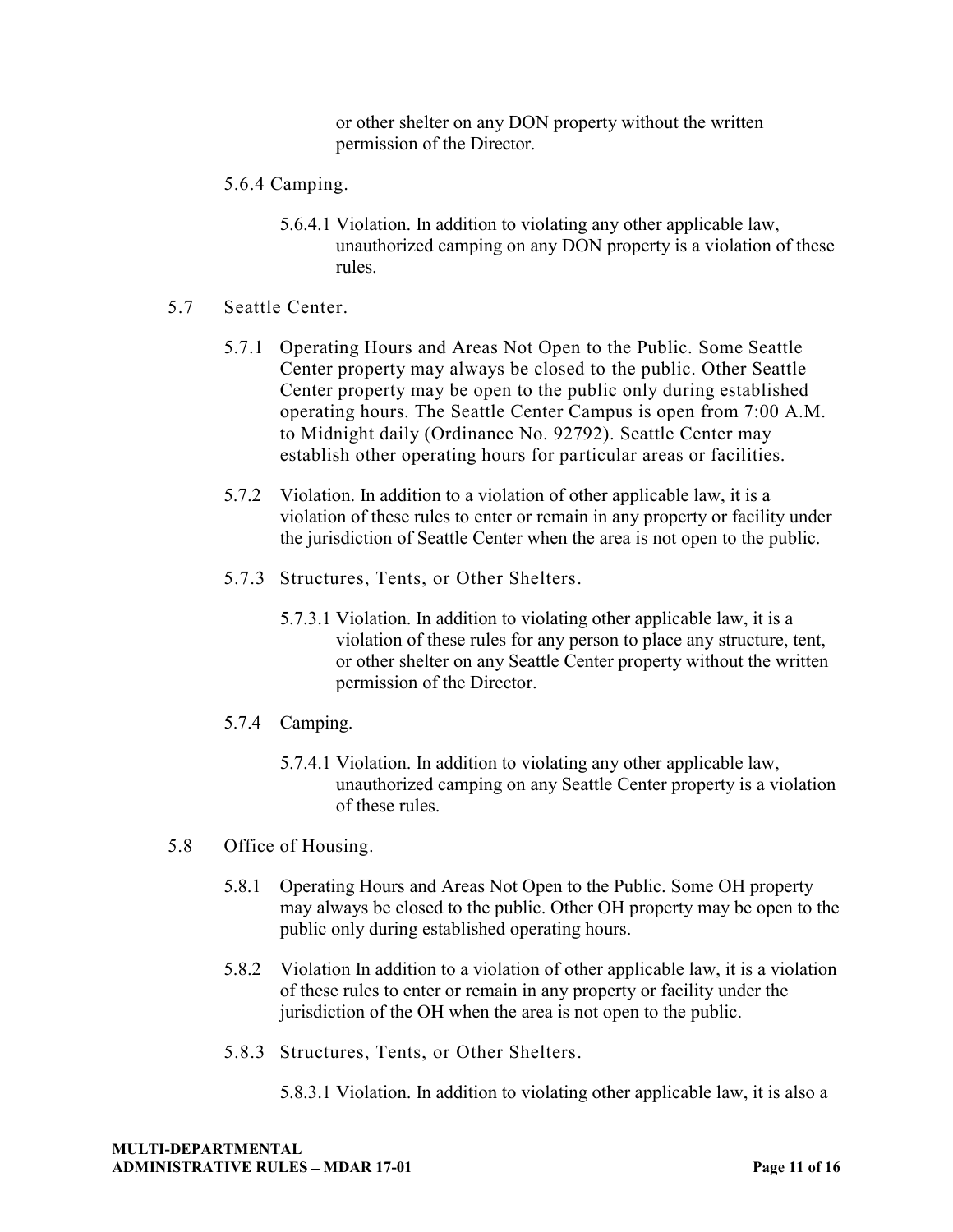or other shelter on any DON property without the written permission of the Director.

- 5.6.4 Camping.
	- 5.6.4.1 Violation. In addition to violating any other applicable law, unauthorized camping on any DON property is a violation of these rules.
- 5.7 Seattle Center.
	- 5.7.1 Operating Hours and Areas Not Open to the Public. Some Seattle Center property may always be closed to the public. Other Seattle Center property may be open to the public only during established operating hours. The Seattle Center Campus is open from 7:00 A.M. to Midnight daily (Ordinance No. 92792). Seattle Center may establish other operating hours for particular areas or facilities.
	- 5.7.2 Violation. In addition to a violation of other applicable law, it is a violation of these rules to enter or remain in any property or facility under the jurisdiction of Seattle Center when the area is not open to the public.
	- 5.7.3 Structures, Tents, or Other Shelters.
		- 5.7.3.1 Violation. In addition to violating other applicable law, it is a violation of these rules for any person to place any structure, tent, or other shelter on any Seattle Center property without the written permission of the Director.
	- 5.7.4 Camping.
		- 5.7.4.1 Violation. In addition to violating any other applicable law, unauthorized camping on any Seattle Center property is a violation of these rules.
- 5.8 Office of Housing.
	- 5.8.1 Operating Hours and Areas Not Open to the Public. Some OH property may always be closed to the public. Other OH property may be open to the public only during established operating hours.
	- 5.8.2 Violation In addition to a violation of other applicable law, it is a violation of these rules to enter or remain in any property or facility under the jurisdiction of the OH when the area is not open to the public.
	- 5.8.3 Structures, Tents, or Other Shelters.
		- 5.8.3.1 Violation. In addition to violating other applicable law, it is also a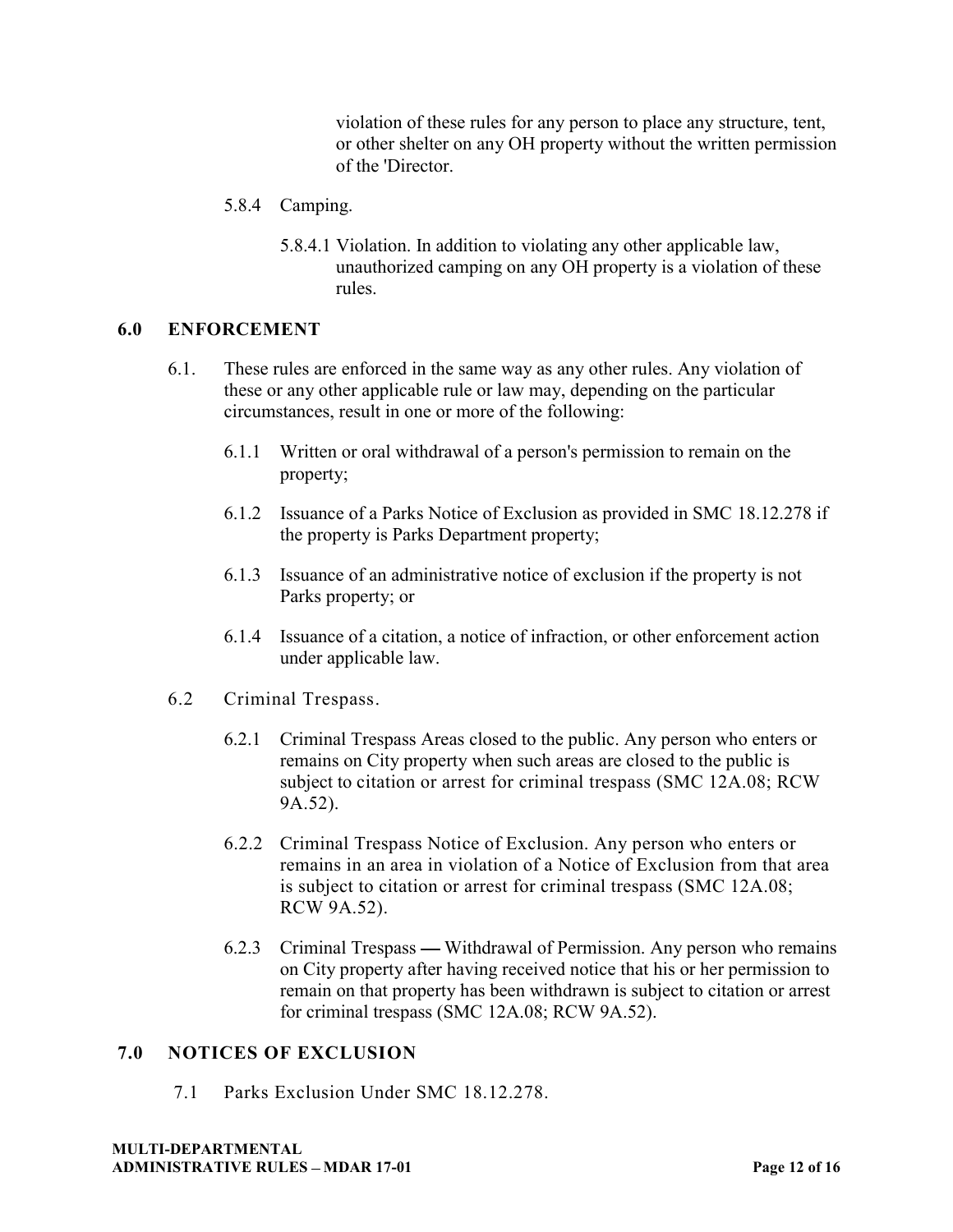violation of these rules for any person to place any structure, tent, or other shelter on any OH property without the written permission of the 'Director.

- 5.8.4 Camping.
	- 5.8.4.1 Violation. In addition to violating any other applicable law, unauthorized camping on any OH property is a violation of these rules.

### **6.0 ENFORCEMENT**

- 6.1. These rules are enforced in the same way as any other rules. Any violation of these or any other applicable rule or law may, depending on the particular circumstances, result in one or more of the following:
	- 6.1.1 Written or oral withdrawal of a person's permission to remain on the property;
	- 6.1.2 Issuance of a Parks Notice of Exclusion as provided in SMC 18.12.278 if the property is Parks Department property;
	- 6.1.3 Issuance of an administrative notice of exclusion if the property is not Parks property; or
	- 6.1.4 Issuance of a citation, a notice of infraction, or other enforcement action under applicable law.
- 6.2 Criminal Trespass.
	- 6.2.1 Criminal Trespass Areas closed to the public. Any person who enters or remains on City property when such areas are closed to the public is subject to citation or arrest for criminal trespass (SMC 12A.08; RCW 9A.52).
	- 6.2.2 Criminal Trespass Notice of Exclusion. Any person who enters or remains in an area in violation of a Notice of Exclusion from that area is subject to citation or arrest for criminal trespass (SMC 12A.08; RCW 9A.52).
	- 6.2.3 Criminal Trespass Withdrawal of Permission. Any person who remains on City property after having received notice that his or her permission to remain on that property has been withdrawn is subject to citation or arrest for criminal trespass (SMC 12A.08; RCW 9A.52).

#### **7.0 NOTICES OF EXCLUSION**

7.1 Parks Exclusion Under SMC 18.12.278.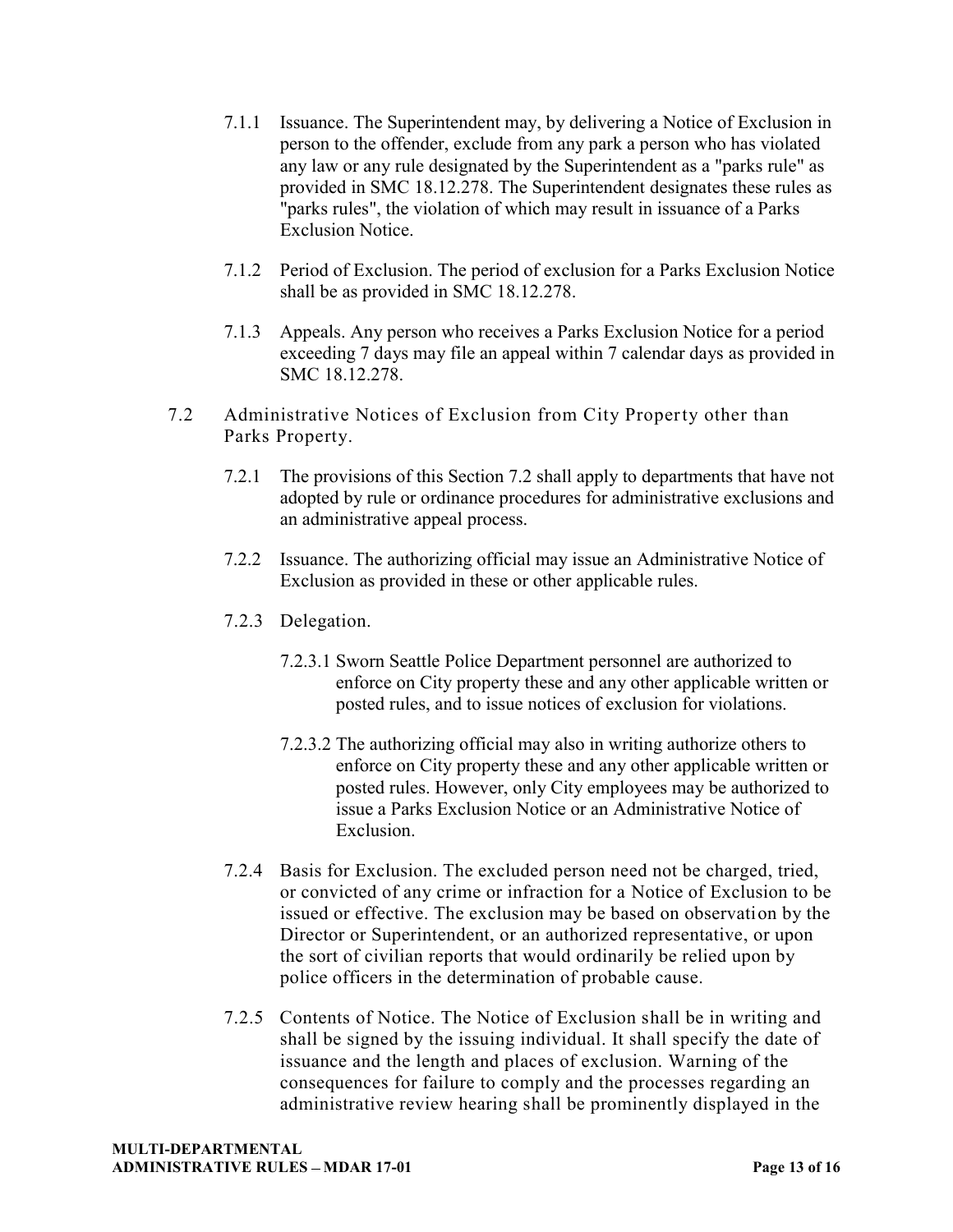- 7.1.1 Issuance. The Superintendent may, by delivering a Notice of Exclusion in person to the offender, exclude from any park a person who has violated any law or any rule designated by the Superintendent as a "parks rule" as provided in SMC 18.12.278. The Superintendent designates these rules as "parks rules", the violation of which may result in issuance of a Parks Exclusion Notice.
- 7.1.2 Period of Exclusion. The period of exclusion for a Parks Exclusion Notice shall be as provided in SMC 18.12.278.
- 7.1.3 Appeals. Any person who receives a Parks Exclusion Notice for a period exceeding 7 days may file an appeal within 7 calendar days as provided in SMC 18.12.278.
- 7.2 Administrative Notices of Exclusion from City Property other than Parks Property.
	- 7.2.1 The provisions of this Section 7.2 shall apply to departments that have not adopted by rule or ordinance procedures for administrative exclusions and an administrative appeal process.
	- 7.2.2 Issuance. The authorizing official may issue an Administrative Notice of Exclusion as provided in these or other applicable rules.
	- 7.2.3 Delegation.
		- 7.2.3.1 Sworn Seattle Police Department personnel are authorized to enforce on City property these and any other applicable written or posted rules, and to issue notices of exclusion for violations.
		- 7.2.3.2 The authorizing official may also in writing authorize others to enforce on City property these and any other applicable written or posted rules. However, only City employees may be authorized to issue a Parks Exclusion Notice or an Administrative Notice of **Exclusion**
	- 7.2.4 Basis for Exclusion. The excluded person need not be charged, tried, or convicted of any crime or infraction for a Notice of Exclusion to be issued or effective. The exclusion may be based on observation by the Director or Superintendent, or an authorized representative, or upon the sort of civilian reports that would ordinarily be relied upon by police officers in the determination of probable cause.
	- 7.2.5 Contents of Notice. The Notice of Exclusion shall be in writing and shall be signed by the issuing individual. It shall specify the date of issuance and the length and places of exclusion. Warning of the consequences for failure to comply and the processes regarding an administrative review hearing shall be prominently displayed in the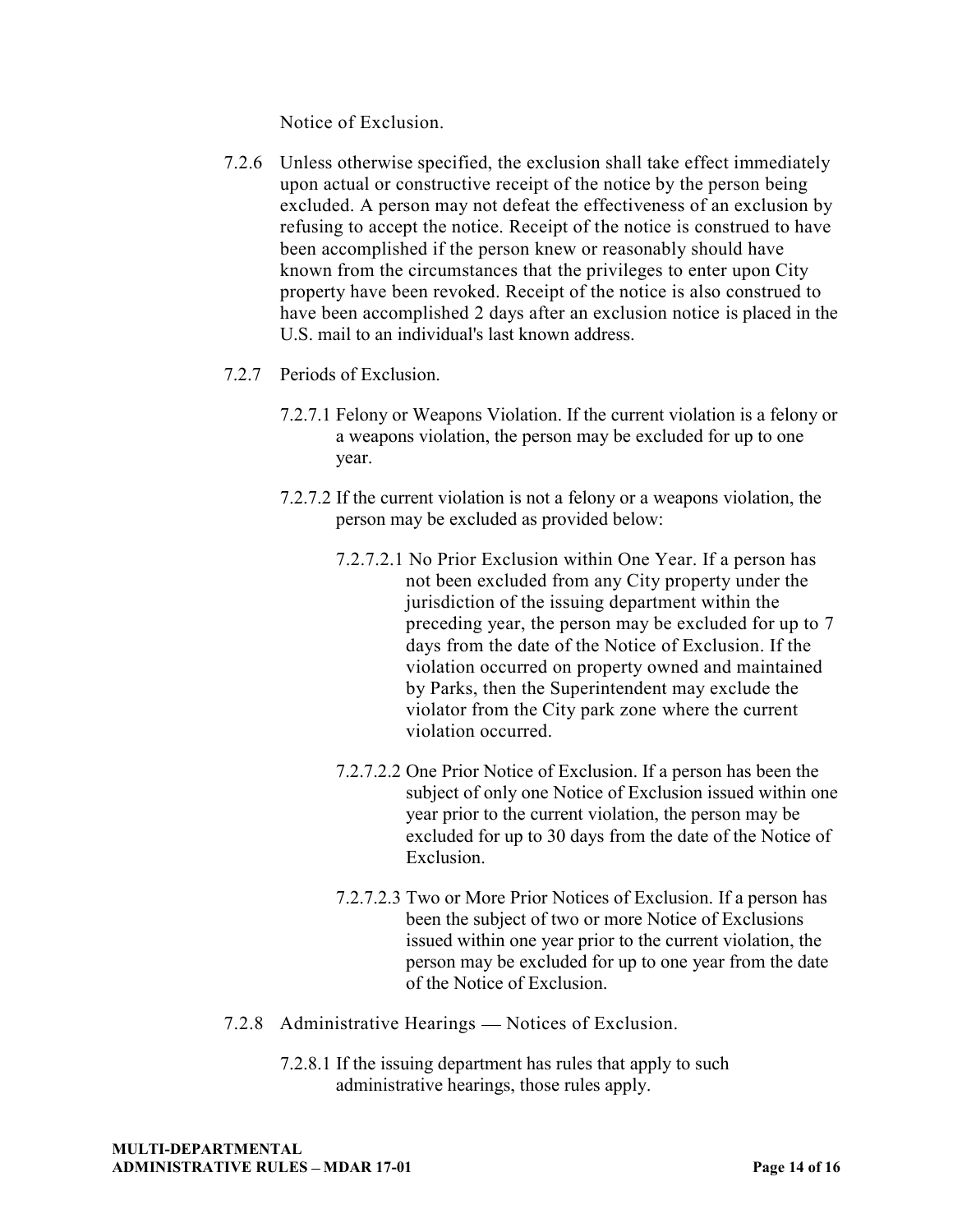Notice of Exclusion.

- 7.2.6 Unless otherwise specified, the exclusion shall take effect immediately upon actual or constructive receipt of the notice by the person being excluded. A person may not defeat the effectiveness of an exclusion by refusing to accept the notice. Receipt of the notice is construed to have been accomplished if the person knew or reasonably should have known from the circumstances that the privileges to enter upon City property have been revoked. Receipt of the notice is also construed to have been accomplished 2 days after an exclusion notice is placed in the U.S. mail to an individual's last known address.
- 7.2.7 Periods of Exclusion.
	- 7.2.7.1 Felony or Weapons Violation. If the current violation is a felony or a weapons violation, the person may be excluded for up to one year.
	- 7.2.7.2 If the current violation is not a felony or a weapons violation, the person may be excluded as provided below:
		- 7.2.7.2.1 No Prior Exclusion within One Year. If a person has not been excluded from any City property under the jurisdiction of the issuing department within the preceding year, the person may be excluded for up to 7 days from the date of the Notice of Exclusion. If the violation occurred on property owned and maintained by Parks, then the Superintendent may exclude the violator from the City park zone where the current violation occurred.
		- 7.2.7.2.2 One Prior Notice of Exclusion. If a person has been the subject of only one Notice of Exclusion issued within one year prior to the current violation, the person may be excluded for up to 30 days from the date of the Notice of Exclusion.
		- 7.2.7.2.3 Two or More Prior Notices of Exclusion. If a person has been the subject of two or more Notice of Exclusions issued within one year prior to the current violation, the person may be excluded for up to one year from the date of the Notice of Exclusion.
- 7.2.8 Administrative Hearings Notices of Exclusion.
	- 7.2.8.1 If the issuing department has rules that apply to such administrative hearings, those rules apply.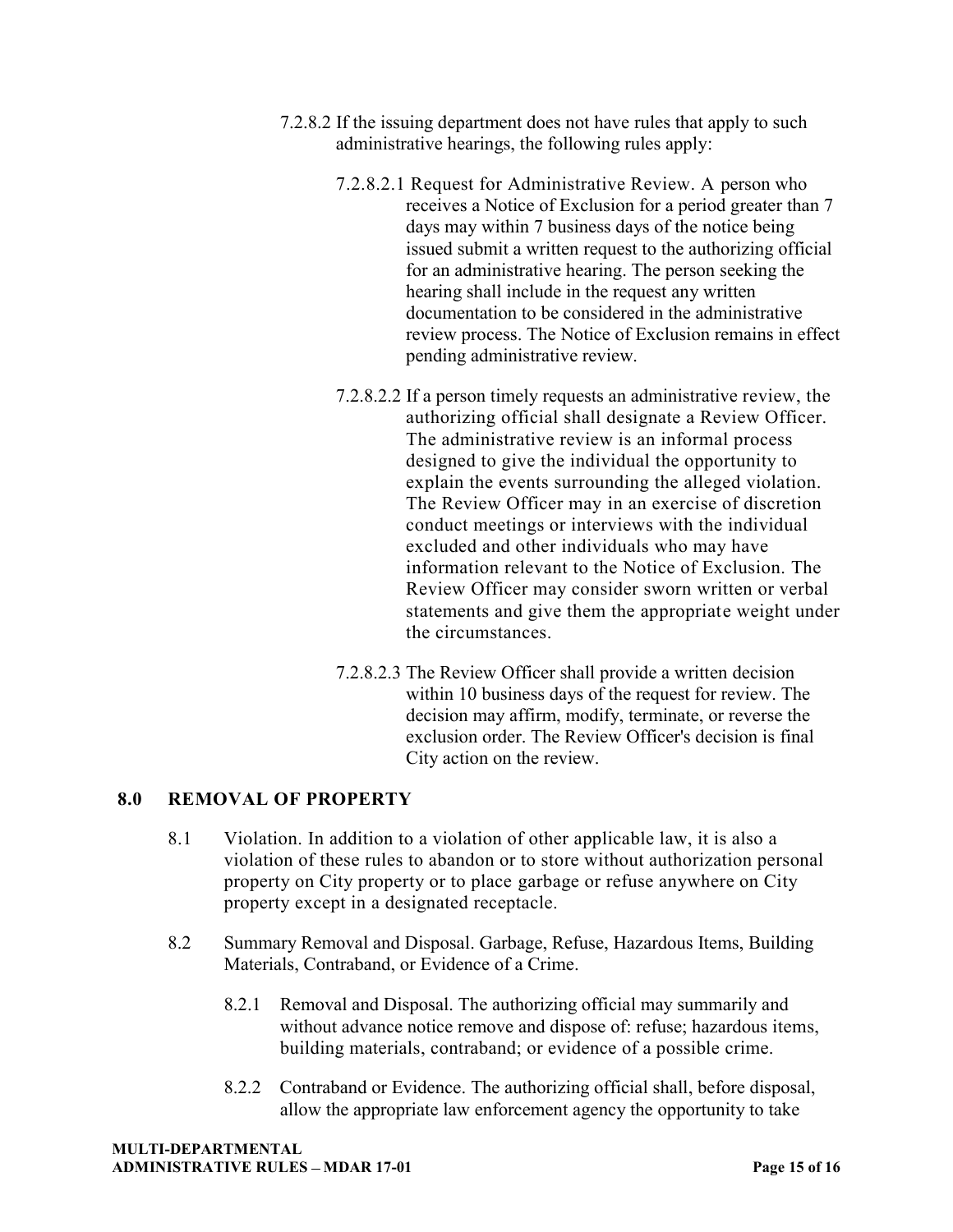- 7.2.8.2 If the issuing department does not have rules that apply to such administrative hearings, the following rules apply:
	- 7.2.8.2.1 Request for Administrative Review. A person who receives a Notice of Exclusion for a period greater than 7 days may within 7 business days of the notice being issued submit a written request to the authorizing official for an administrative hearing. The person seeking the hearing shall include in the request any written documentation to be considered in the administrative review process. The Notice of Exclusion remains in effect pending administrative review.
	- 7.2.8.2.2 If a person timely requests an administrative review, the authorizing official shall designate a Review Officer. The administrative review is an informal process designed to give the individual the opportunity to explain the events surrounding the alleged violation. The Review Officer may in an exercise of discretion conduct meetings or interviews with the individual excluded and other individuals who may have information relevant to the Notice of Exclusion. The Review Officer may consider sworn written or verbal statements and give them the appropriate weight under the circumstances.
	- 7.2.8.2.3 The Review Officer shall provide a written decision within 10 business days of the request for review. The decision may affirm, modify, terminate, or reverse the exclusion order. The Review Officer's decision is final City action on the review.

# **8.0 REMOVAL OF PROPERTY**

- 8.1 Violation. In addition to a violation of other applicable law, it is also a violation of these rules to abandon or to store without authorization personal property on City property or to place garbage or refuse anywhere on City property except in a designated receptacle.
- 8.2 Summary Removal and Disposal. Garbage, Refuse, Hazardous Items, Building Materials, Contraband, or Evidence of a Crime.
	- 8.2.1 Removal and Disposal. The authorizing official may summarily and without advance notice remove and dispose of: refuse; hazardous items, building materials, contraband; or evidence of a possible crime.
	- 8.2.2 Contraband or Evidence. The authorizing official shall, before disposal, allow the appropriate law enforcement agency the opportunity to take